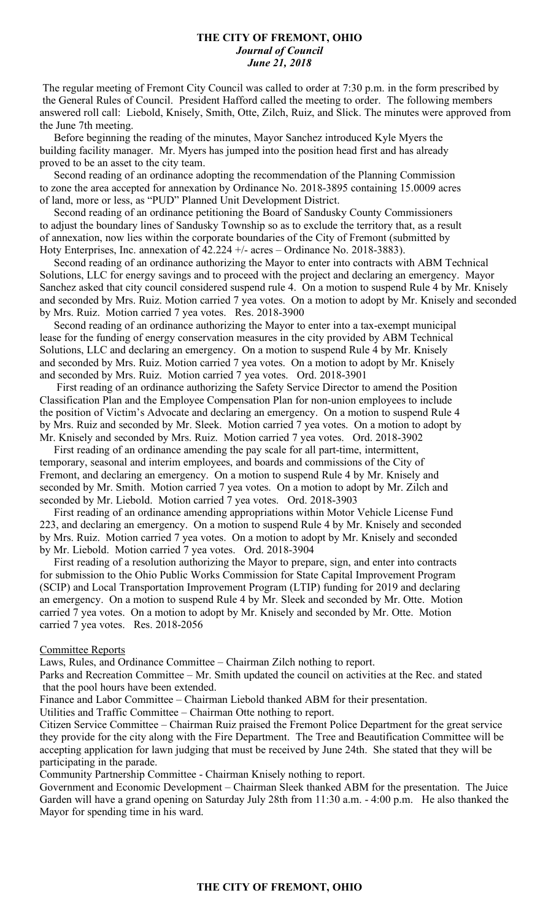### **THE CITY OF FREMONT, OHIO** *Journal of Council June 21, 2018*

The regular meeting of Fremont City Council was called to order at 7:30 p.m. in the form prescribed by the General Rules of Council. President Hafford called the meeting to order. The following members answered roll call: Liebold, Knisely, Smith, Otte, Zilch, Ruiz, and Slick. The minutes were approved from the June 7th meeting.

 Before beginning the reading of the minutes, Mayor Sanchez introduced Kyle Myers the building facility manager. Mr. Myers has jumped into the position head first and has already proved to be an asset to the city team.

 Second reading of an ordinance adopting the recommendation of the Planning Commission to zone the area accepted for annexation by Ordinance No. 2018-3895 containing 15.0009 acres of land, more or less, as "PUD" Planned Unit Development District.

 Second reading of an ordinance petitioning the Board of Sandusky County Commissioners to adjust the boundary lines of Sandusky Township so as to exclude the territory that, as a result of annexation, now lies within the corporate boundaries of the City of Fremont (submitted by Hoty Enterprises, Inc. annexation of 42.224 +/- acres – Ordinance No. 2018-3883).

 Second reading of an ordinance authorizing the Mayor to enter into contracts with ABM Technical Solutions, LLC for energy savings and to proceed with the project and declaring an emergency. Mayor Sanchez asked that city council considered suspend rule 4. On a motion to suspend Rule 4 by Mr. Knisely and seconded by Mrs. Ruiz. Motion carried 7 yea votes. On a motion to adopt by Mr. Knisely and seconded by Mrs. Ruiz. Motion carried 7 yea votes. Res. 2018-3900

 Second reading of an ordinance authorizing the Mayor to enter into a tax-exempt municipal lease for the funding of energy conservation measures in the city provided by ABM Technical Solutions, LLC and declaring an emergency. On a motion to suspend Rule 4 by Mr. Knisely and seconded by Mrs. Ruiz. Motion carried 7 yea votes. On a motion to adopt by Mr. Knisely and seconded by Mrs. Ruiz. Motion carried 7 yea votes. Ord. 2018-3901

 First reading of an ordinance authorizing the Safety Service Director to amend the Position Classification Plan and the Employee Compensation Plan for non-union employees to include the position of Victim's Advocate and declaring an emergency. On a motion to suspend Rule 4 by Mrs. Ruiz and seconded by Mr. Sleek. Motion carried 7 yea votes. On a motion to adopt by Mr. Knisely and seconded by Mrs. Ruiz. Motion carried 7 yea votes. Ord. 2018-3902

 First reading of an ordinance amending the pay scale for all part-time, intermittent, temporary, seasonal and interim employees, and boards and commissions of the City of Fremont, and declaring an emergency. On a motion to suspend Rule 4 by Mr. Knisely and seconded by Mr. Smith. Motion carried 7 yea votes. On a motion to adopt by Mr. Zilch and seconded by Mr. Liebold. Motion carried 7 yea votes. Ord. 2018-3903

 First reading of an ordinance amending appropriations within Motor Vehicle License Fund 223, and declaring an emergency. On a motion to suspend Rule 4 by Mr. Knisely and seconded by Mrs. Ruiz. Motion carried 7 yea votes. On a motion to adopt by Mr. Knisely and seconded by Mr. Liebold. Motion carried 7 yea votes. Ord. 2018-3904

 First reading of a resolution authorizing the Mayor to prepare, sign, and enter into contracts for submission to the Ohio Public Works Commission for State Capital Improvement Program (SCIP) and Local Transportation Improvement Program (LTIP) funding for 2019 and declaring an emergency. On a motion to suspend Rule 4 by Mr. Sleek and seconded by Mr. Otte. Motion carried 7 yea votes. On a motion to adopt by Mr. Knisely and seconded by Mr. Otte. Motion carried 7 yea votes. Res. 2018-2056

#### Committee Reports

Laws, Rules, and Ordinance Committee – Chairman Zilch nothing to report.

Parks and Recreation Committee – Mr. Smith updated the council on activities at the Rec. and stated that the pool hours have been extended.

Finance and Labor Committee – Chairman Liebold thanked ABM for their presentation.

Utilities and Traffic Committee – Chairman Otte nothing to report.

Citizen Service Committee – Chairman Ruiz praised the Fremont Police Department for the great service they provide for the city along with the Fire Department. The Tree and Beautification Committee will be accepting application for lawn judging that must be received by June 24th. She stated that they will be participating in the parade.

Community Partnership Committee - Chairman Knisely nothing to report.

Government and Economic Development – Chairman Sleek thanked ABM for the presentation. The Juice Garden will have a grand opening on Saturday July 28th from 11:30 a.m. - 4:00 p.m. He also thanked the Mayor for spending time in his ward.